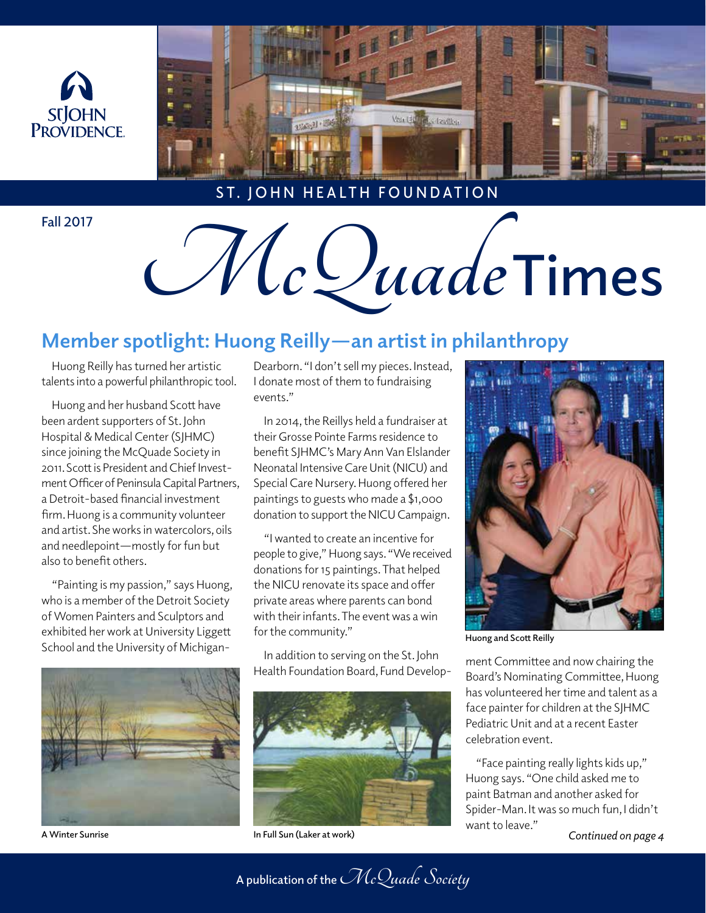



**ST. JOHN HEALTH FOUNDATION**

# Fall 2017<br>McQuade Times

## **Member spotlight: Huong Reilly—an artist in philanthropy**

Huong Reilly has turned her artistic talents into a powerful philanthropic tool.

Huong and her husband Scott have been ardent supporters of St. John Hospital & Medical Center (SJHMC) since joining the McQuade Society in 2011. Scott is President and Chief Investment Officer of Peninsula Capital Partners, a Detroit-based financial investment firm. Huong is a community volunteer and artist. She works in watercolors, oils and needlepoint—mostly for fun but also to benefit others.

"Painting is my passion," says Huong, who is a member of the Detroit Society of Women Painters and Sculptors and exhibited her work at University Liggett School and the University of Michigan-



Dearborn. "I don't sell my pieces. Instead, I donate most of them to fundraising events."

In 2014, the Reillys held a fundraiser at their Grosse Pointe Farms residence to benefit SJHMC's Mary Ann Van Elslander Neonatal Intensive Care Unit (NICU) and Special Care Nursery. Huong offered her paintings to guests who made a \$1,000 donation to support the NICU Campaign.

"I wanted to create an incentive for people to give," Huong says. "We received donations for 15 paintings. That helped the NICU renovate its space and offer private areas where parents can bond with their infants. The event was a win for the community."

In addition to serving on the St. John In addition to serving on the St. John Mann Committee and now chairing the Health Foundation Board, Fund Develop-



**A Winter Sunrise In Full Sun (Laker at work)**



**Huong and Scott Reilly**

Board's Nominating Committee, Huong has volunteered her time and talent as a face painter for children at the SJHMC Pediatric Unit and at a recent Easter celebration event.

"Face painting really lights kids up," Huong says. "One child asked me to paint Batman and another asked for Spider-Man. It was so much fun, I didn't want to leave."

*Continued on page 4*

**A publication of the McQuade Society**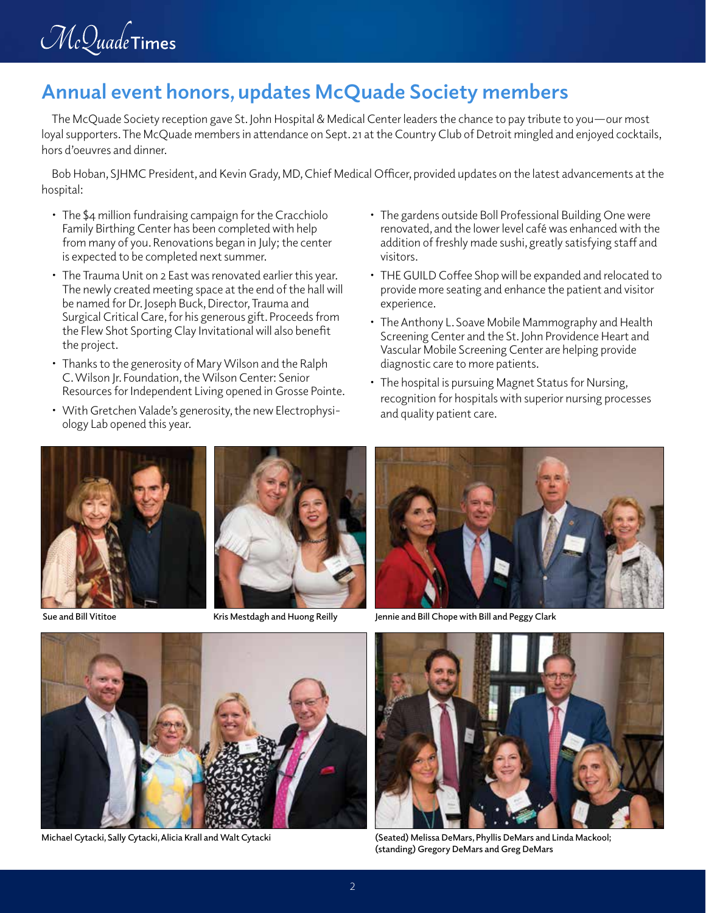

#### **Annual event honors, updates McQuade Society members**

The McQuade Society reception gave St. John Hospital & Medical Center leaders the chance to pay tribute to you—our most loyal supporters. The McQuade members in attendance on Sept. 21 at the Country Club of Detroit mingled and enjoyed cocktails, hors d'oeuvres and dinner.

Bob Hoban, SJHMC President, and Kevin Grady, MD, Chief Medical Officer, provided updates on the latest advancements at the hospital:

- The \$4 million fundraising campaign for the Cracchiolo Family Birthing Center has been completed with help from many of you. Renovations began in July; the center is expected to be completed next summer.
- The Trauma Unit on 2 East was renovated earlier this year. The newly created meeting space at the end of the hall will be named for Dr. Joseph Buck, Director, Trauma and Surgical Critical Care, for his generous gift. Proceeds from the Flew Shot Sporting Clay Invitational will also benefit the project.
- Thanks to the generosity of Mary Wilson and the Ralph C. Wilson Jr. Foundation, the Wilson Center: Senior Resources for Independent Living opened in Grosse Pointe.
- With Gretchen Valade's generosity, the new Electrophysiology Lab opened this year.
- The gardens outside Boll Professional Building One were renovated, and the lower level café was enhanced with the addition of freshly made sushi, greatly satisfying staff and visitors.
- THE GUILD Coffee Shop will be expanded and relocated to provide more seating and enhance the patient and visitor experience.
- The Anthony L. Soave Mobile Mammography and Health Screening Center and the St. John Providence Heart and Vascular Mobile Screening Center are helping provide diagnostic care to more patients.
- The hospital is pursuing Magnet Status for Nursing, recognition for hospitals with superior nursing processes and quality patient care.







**Sue and Bill Vititoe Kris Mestdagh and Huong Reilly Jennie and Bill Chope with Bill and Peggy Clark**



**Michael Cytacki, Sally Cytacki, Alicia Krall and Walt Cytacki (Seated) Melissa DeMars, Phyllis DeMars and Linda Mackool;** 



**(standing) Gregory DeMars and Greg DeMars**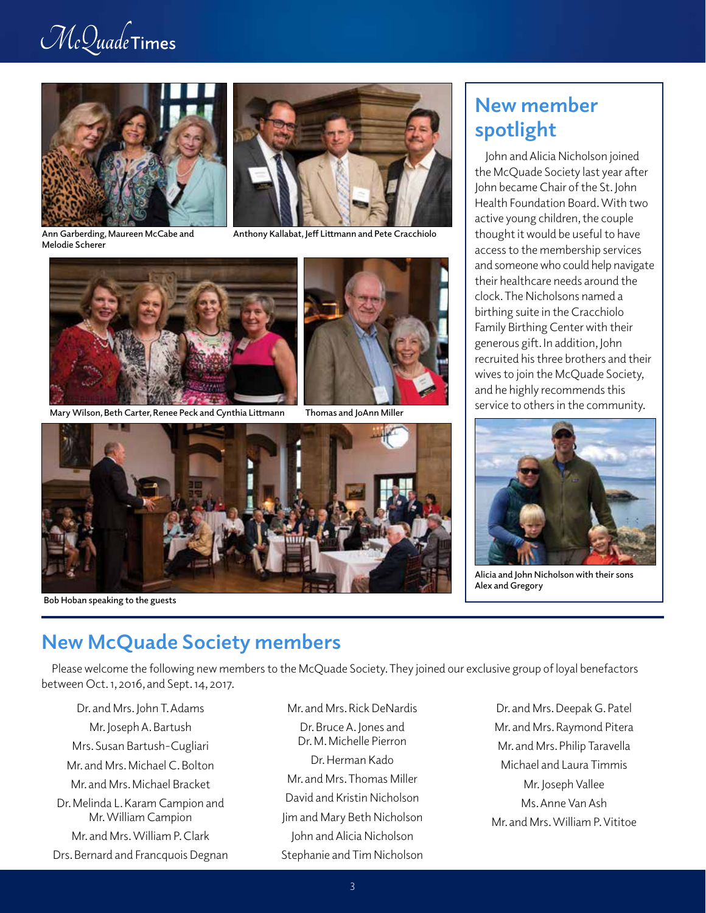# $\mathcal{M}\scriptstyle c\mathcal{Q}$ uade Times





**Ann Garberding, Maureen McCabe and Melodie Scherer**

**Anthony Kallabat, Jeff Littmann and Pete Cracchiolo**



**Mary Wilson, Beth Carter, Renee Peck and Cynthia Littmann Thomas and JoAnn Miller**





 **Bob Hoban speaking to the guests**

## **New member spotlight**

John and Alicia Nicholson joined the McQuade Society last year after John became Chair of the St. John Health Foundation Board. With two active young children, the couple thought it would be useful to have access to the membership services and someone who could help navigate their healthcare needs around the clock. The Nicholsons named a birthing suite in the Cracchiolo Family Birthing Center with their generous gift. In addition, John recruited his three brothers and their wives to join the McQuade Society, and he highly recommends this service to others in the community.



**Alicia and John Nicholson with their sons Alex and Gregory**

# **New McQuade Society members**

Please welcome the following new members to the McQuade Society. They joined our exclusive group of loyal benefactors between Oct. 1, 2016, and Sept. 14, 2017.

Dr. and Mrs. John T. Adams Mr. Joseph A. Bartush Mrs. Susan Bartush-Cugliari Mr. and Mrs. Michael C. Bolton Mr. and Mrs. Michael Bracket Dr. Melinda L. Karam Campion and Mr. William Campion Mr. and Mrs. William P. Clark Drs. Bernard and Francquois Degnan Mr. and Mrs. Rick DeNardis

- Dr. Bruce A. Jones and Dr. M. Michelle Pierron Dr. Herman Kado Mr. and Mrs. Thomas Miller David and Kristin Nicholson Jim and Mary Beth Nicholson John and Alicia Nicholson Stephanie and Tim Nicholson
- Dr. and Mrs. Deepak G. Patel Mr. and Mrs. Raymond Pitera Mr. and Mrs. Philip Taravella Michael and Laura Timmis Mr. Joseph Vallee Ms. Anne Van Ash Mr. and Mrs. William P. Vititoe